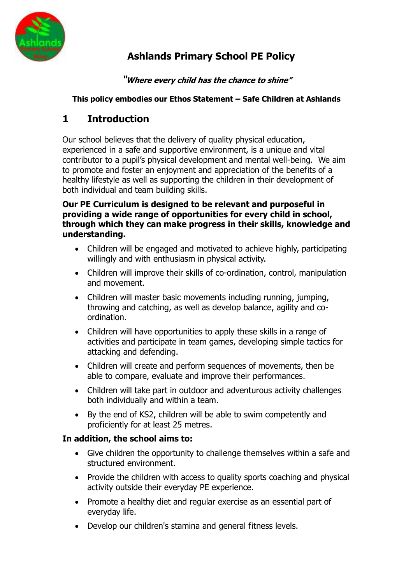

# **Ashlands Primary School PE Policy**

## **"Where every child has the chance to shine"**

### **This policy embodies our Ethos Statement – Safe Children at Ashlands**

## **1 Introduction**

Our school believes that the delivery of quality physical education, experienced in a safe and supportive environment, is a unique and vital contributor to a pupil's physical development and mental well-being. We aim to promote and foster an enjoyment and appreciation of the benefits of a healthy lifestyle as well as supporting the children in their development of both individual and team building skills.

#### **Our PE Curriculum is designed to be relevant and purposeful in providing a wide range of opportunities for every child in school, through which they can make progress in their skills, knowledge and understanding.**

- Children will be engaged and motivated to achieve highly, participating willingly and with enthusiasm in physical activity.
- Children will improve their skills of co-ordination, control, manipulation and movement.
- Children will master basic movements including running, jumping, throwing and catching, as well as develop balance, agility and coordination.
- Children will have opportunities to apply these skills in a range of activities and participate in team games, developing simple tactics for attacking and defending.
- Children will create and perform sequences of movements, then be able to compare, evaluate and improve their performances.
- Children will take part in outdoor and adventurous activity challenges both individually and within a team.
- By the end of KS2, children will be able to swim competently and proficiently for at least 25 metres.

## **In addition, the school aims to:**

- Give children the opportunity to challenge themselves within a safe and structured environment.
- Provide the children with access to quality sports coaching and physical activity outside their everyday PE experience.
- Promote a healthy diet and regular exercise as an essential part of everyday life.
- Develop our children's stamina and general fitness levels.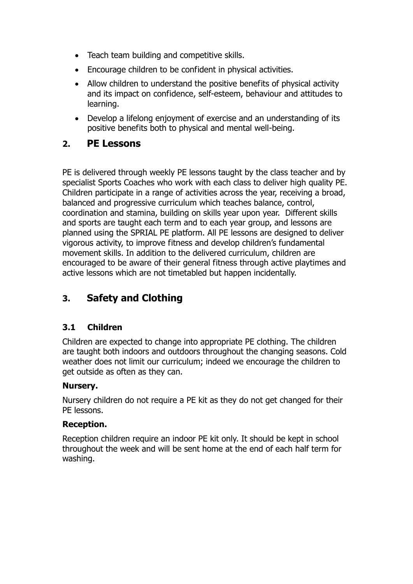- Teach team building and competitive skills.
- Encourage children to be confident in physical activities.
- Allow children to understand the positive benefits of physical activity and its impact on confidence, self-esteem, behaviour and attitudes to learning.
- Develop a lifelong enjoyment of exercise and an understanding of its positive benefits both to physical and mental well-being.

## **2. PE Lessons**

PE is delivered through weekly PE lessons taught by the class teacher and by specialist Sports Coaches who work with each class to deliver high quality PE. Children participate in a range of activities across the year, receiving a broad, balanced and progressive curriculum which teaches balance, control, coordination and stamina, building on skills year upon year. Different skills and sports are taught each term and to each year group, and lessons are planned using the SPRIAL PE platform. All PE lessons are designed to deliver vigorous activity, to improve fitness and develop children's fundamental movement skills. In addition to the delivered curriculum, children are encouraged to be aware of their general fitness through active playtimes and active lessons which are not timetabled but happen incidentally.

## **3. Safety and Clothing**

## **3.1 Children**

Children are expected to change into appropriate PE clothing. The children are taught both indoors and outdoors throughout the changing seasons. Cold weather does not limit our curriculum; indeed we encourage the children to get outside as often as they can.

#### **Nursery.**

Nursery children do not require a PE kit as they do not get changed for their PE lessons.

#### **Reception.**

Reception children require an indoor PE kit only. It should be kept in school throughout the week and will be sent home at the end of each half term for washing.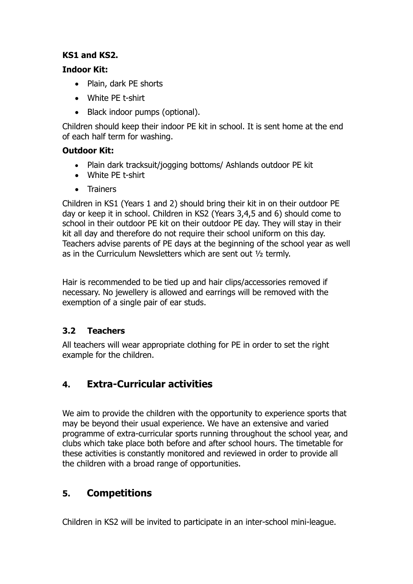## **KS1 and KS2.**

#### **Indoor Kit:**

- Plain, dark PE shorts
- White PE t-shirt
- Black indoor pumps (optional).

Children should keep their indoor PE kit in school. It is sent home at the end of each half term for washing.

## **Outdoor Kit:**

- Plain dark tracksuit/jogging bottoms/ Ashlands outdoor PE kit
- White PE t-shirt
- Trainers

Children in KS1 (Years 1 and 2) should bring their kit in on their outdoor PE day or keep it in school. Children in KS2 (Years 3,4,5 and 6) should come to school in their outdoor PE kit on their outdoor PE day. They will stay in their kit all day and therefore do not require their school uniform on this day. Teachers advise parents of PE days at the beginning of the school year as well as in the Curriculum Newsletters which are sent out ½ termly.

Hair is recommended to be tied up and hair clips/accessories removed if necessary. No jewellery is allowed and earrings will be removed with the exemption of a single pair of ear studs.

## **3.2 Teachers**

All teachers will wear appropriate clothing for PE in order to set the right example for the children.

## **4. Extra-Curricular activities**

We aim to provide the children with the opportunity to experience sports that may be beyond their usual experience. We have an extensive and varied programme of extra-curricular sports running throughout the school year, and clubs which take place both before and after school hours. The timetable for these activities is constantly monitored and reviewed in order to provide all the children with a broad range of opportunities.

## **5. Competitions**

Children in KS2 will be invited to participate in an inter-school mini-league.